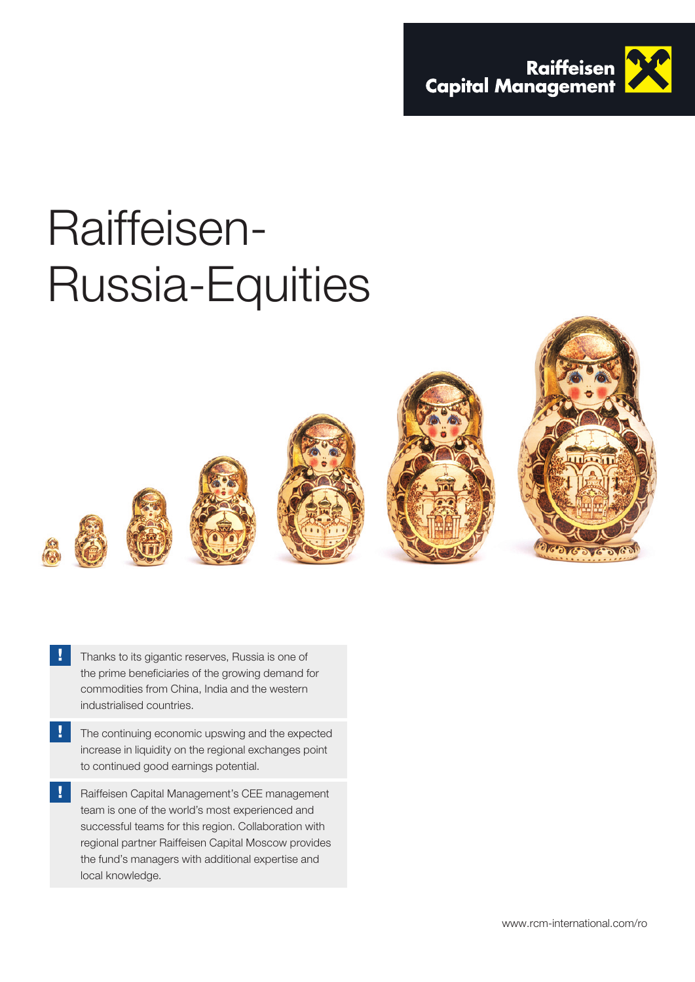

# Raiffeisen-Russia-Equities





- Thanks to its gigantic reserves, Russia is one of the prime beneficiaries of the growing demand for commodities from China, India and the western industrialised countries.
- V The continuing economic upswing and the expected increase in liquidity on the regional exchanges point to continued good earnings potential.
- Raiffeisen Capital Management's CEE management team is one of the world's most experienced and successful teams for this region. Collaboration with regional partner Raiffeisen Capital Moscow provides the fund's managers with additional expertise and local knowledge.